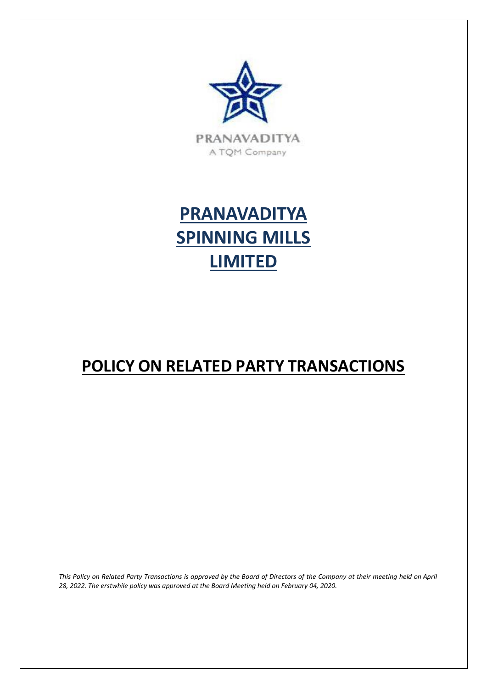



# **POLICY ON RELATED PARTY TRANSACTIONS**

This Policy on Related Party Transactions is approved by the Board of Directors of the Company at their meeting held on April *28, 2022. The erstwhile policy was approved at the Board Meeting held on February 04, 2020.*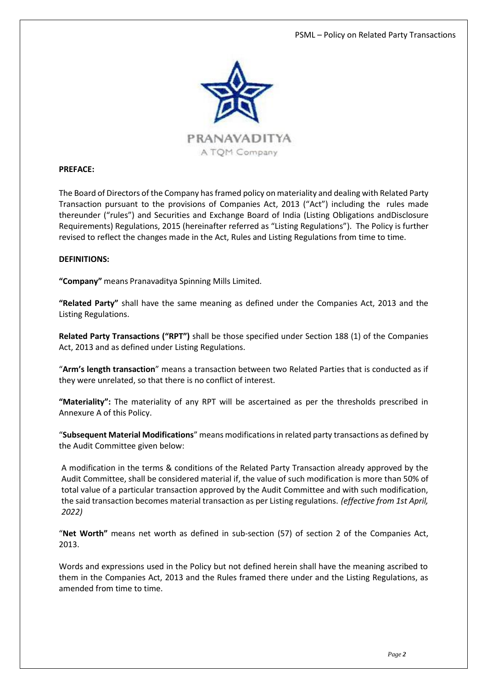

#### **PREFACE:**

The Board of Directors of the Company has framed policy on materiality and dealing with Related Party Transaction pursuant to the provisions of Companies Act, 2013 ("Act") including the rules made thereunder ("rules") and Securities and Exchange Board of India (Listing Obligations andDisclosure Requirements) Regulations, 2015 (hereinafter referred as "Listing Regulations"). The Policy is further revised to reflect the changes made in the Act, Rules and Listing Regulations from time to time.

#### **DEFINITIONS:**

**"Company"** means Pranavaditya Spinning Mills Limited.

**"Related Party"** shall have the same meaning as defined under the Companies Act, 2013 and the Listing Regulations.

**Related Party Transactions ("RPT")** shall be those specified under Section 188 (1) of the Companies Act, 2013 and as defined under Listing Regulations.

"**Arm's length transaction**" means a transaction between two Related Parties that is conducted as if they were unrelated, so that there is no conflict of interest.

**"Materiality":** The materiality of any RPT will be ascertained as per the thresholds prescribed in Annexure A of this Policy.

"**Subsequent Material Modifications**" means modifications in related party transactions as defined by the Audit Committee given below:

A modification in the terms & conditions of the Related Party Transaction already approved by the Audit Committee, shall be considered material if, the value of such modification is more than 50% of total value of a particular transaction approved by the Audit Committee and with such modification, the said transaction becomes material transaction as per Listing regulations. *(effective from 1st April, 2022)*

"**Net Worth"** means net worth as defined in sub-section (57) of section 2 of the Companies Act, 2013.

Words and expressions used in the Policy but not defined herein shall have the meaning ascribed to them in the Companies Act, 2013 and the Rules framed there under and the Listing Regulations, as amended from time to time.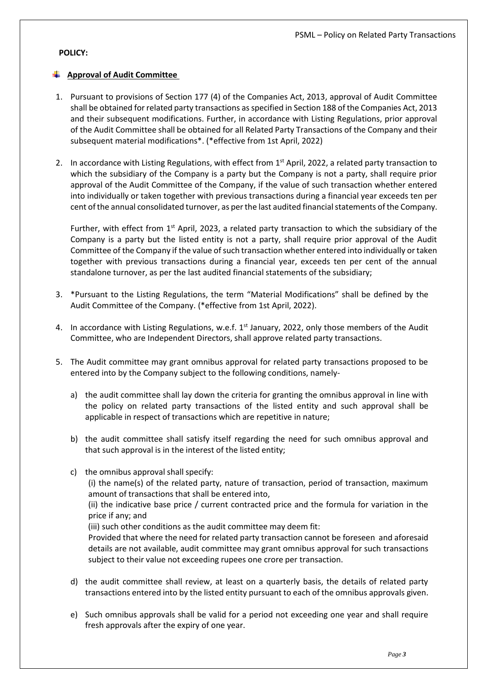#### **POLICY:**

# **Approval of Audit Committee**

- 1. Pursuant to provisions of Section 177 (4) of the Companies Act, 2013, approval of Audit Committee shall be obtained for related party transactions as specified in Section 188 of the Companies Act, 2013 and their subsequent modifications. Further, in accordance with Listing Regulations, prior approval of the Audit Committee shall be obtained for all Related Party Transactions of the Company and their subsequent material modifications\*. (\*effective from 1st April, 2022)
- 2. In accordance with Listing Regulations, with effect from  $1<sup>st</sup>$  April, 2022, a related party transaction to which the subsidiary of the Company is a party but the Company is not a party, shall require prior approval of the Audit Committee of the Company, if the value of such transaction whether entered into individually or taken together with previous transactions during a financial year exceeds ten per cent of the annual consolidated turnover, as per the last audited financialstatements of the Company.

Further, with effect from  $1<sup>st</sup>$  April, 2023, a related party transaction to which the subsidiary of the Company is a party but the listed entity is not a party, shall require prior approval of the Audit Committee of the Company if the value of such transaction whether entered into individually or taken together with previous transactions during a financial year, exceeds ten per cent of the annual standalone turnover, as per the last audited financial statements of the subsidiary;

- 3. \*Pursuant to the Listing Regulations, the term "Material Modifications" shall be defined by the Audit Committee of the Company. (\*effective from 1st April, 2022).
- 4. In accordance with Listing Regulations, w.e.f.  $1^{st}$  January, 2022, only those members of the Audit Committee, who are Independent Directors, shall approve related party transactions.
- 5. The Audit committee may grant omnibus approval for related party transactions proposed to be entered into by the Company subject to the following conditions, namely
	- a) the audit committee shall lay down the criteria for granting the omnibus approval in line with the policy on related party transactions of the listed entity and such approval shall be applicable in respect of transactions which are repetitive in nature;
	- b) the audit committee shall satisfy itself regarding the need for such omnibus approval and that such approval is in the interest of the listed entity;
	- c) the omnibus approval shall specify:

(i) the name(s) of the related party, nature of transaction, period of transaction, maximum amount of transactions that shall be entered into,

(ii) the indicative base price / current contracted price and the formula for variation in the price if any; and

(iii) such other conditions as the audit committee may deem fit:

Provided that where the need for related party transaction cannot be foreseen and aforesaid details are not available, audit committee may grant omnibus approval for such transactions subject to their value not exceeding rupees one crore per transaction.

- d) the audit committee shall review, at least on a quarterly basis, the details of related party transactions entered into by the listed entity pursuant to each of the omnibus approvals given.
- e) Such omnibus approvals shall be valid for a period not exceeding one year and shall require fresh approvals after the expiry of one year.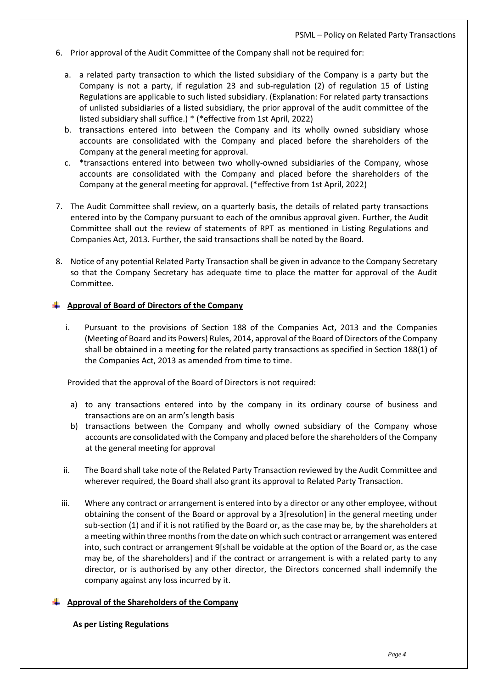- 6. Prior approval of the Audit Committee of the Company shall not be required for:
	- a. a related party transaction to which the listed subsidiary of the Company is a party but the Company is not a party, if regulation 23 and sub-regulation (2) of regulation 15 of Listing Regulations are applicable to such listed subsidiary. (Explanation: For related party transactions of unlisted subsidiaries of a listed subsidiary, the prior approval of the audit committee of the listed subsidiary shall suffice.) \* (\*effective from 1st April, 2022)
	- b. transactions entered into between the Company and its wholly owned subsidiary whose accounts are consolidated with the Company and placed before the shareholders of the Company at the general meeting for approval.
	- c. \*transactions entered into between two wholly-owned subsidiaries of the Company, whose accounts are consolidated with the Company and placed before the shareholders of the Company at the general meeting for approval. (\*effective from 1st April, 2022)
- 7. The Audit Committee shall review, on a quarterly basis, the details of related party transactions entered into by the Company pursuant to each of the omnibus approval given. Further, the Audit Committee shall out the review of statements of RPT as mentioned in Listing Regulations and Companies Act, 2013. Further, the said transactions shall be noted by the Board.
- 8. Notice of any potential Related Party Transaction shall be given in advance to the Company Secretary so that the Company Secretary has adequate time to place the matter for approval of the Audit Committee.

#### **Approval of Board of Directors of the Company**

i. Pursuant to the provisions of Section 188 of the Companies Act, 2013 and the Companies (Meeting of Board and its Powers) Rules, 2014, approval of the Board of Directors of the Company shall be obtained in a meeting for the related party transactions as specified in Section 188(1) of the Companies Act, 2013 as amended from time to time.

Provided that the approval of the Board of Directors is not required:

- a) to any transactions entered into by the company in its ordinary course of business and transactions are on an arm's length basis
- b) transactions between the Company and wholly owned subsidiary of the Company whose accounts are consolidated with the Company and placed before the shareholders of the Company at the general meeting for approval
- ii. The Board shall take note of the Related Party Transaction reviewed by the Audit Committee and wherever required, the Board shall also grant its approval to Related Party Transaction.
- iii. Where any contract or arrangement is entered into by a director or any other employee, without obtaining the consent of the Board or approval by a 3[resolution] in the general meeting under sub-section (1) and if it is not ratified by the Board or, as the case may be, by the shareholders at a meeting within three months from the date on which such contract or arrangement was entered into, such contract or arrangement 9[shall be voidable at the option of the Board or, as the case may be, of the shareholders] and if the contract or arrangement is with a related party to any director, or is authorised by any other director, the Directors concerned shall indemnify the company against any loss incurred by it.

#### **Approval of the Shareholders of the Company**

**As per Listing Regulations**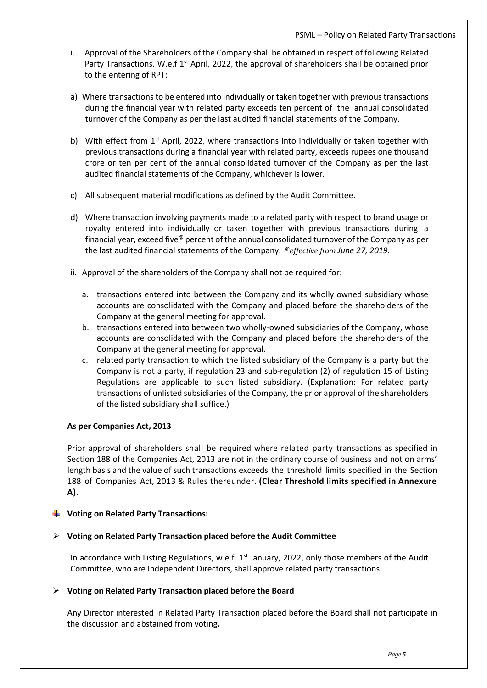- i. Approval of the Shareholders of the Company shall be obtained in respect of following Related Party Transactions. W.e.f 1<sup>st</sup> April, 2022, the approval of shareholders shall be obtained prior to the entering of RPT:
- a) Where transactions to be entered into individually or taken together with previous transactions during the financial year with related party exceeds ten percent of the annual consolidated turnover of the Company as per the last audited financial statements of the Company.
- b) With effect from 1<sup>st</sup> April, 2022, where transactions into individually or taken together with previous transactions during a financial year with related party, exceeds rupees one thousand crore or ten per cent of the annual consolidated turnover of the Company as per the last audited financial statements of the Company, whichever is lower.
- c) All subsequent material modifications as defined by the Audit Committee.
- d) Where transaction involving payments made to a related party with respect to brand usage or royalty entered into individually or taken together with previous transactions during a financial year, exceed five  $\theta$  percent of the annual consolidated turnover of the Company as per the last audited financial statements of the Company. @*effective from June 27, 2019.*
- ii. Approval of the shareholders of the Company shall not be required for:
	- a. transactions entered into between the Company and its wholly owned subsidiary whose accounts are consolidated with the Company and placed before the shareholders of the Company at the general meeting for approval.
	- b. transactions entered into between two wholly-owned subsidiaries of the Company, whose accounts are consolidated with the Company and placed before the shareholders of the Company at the general meeting for approval.
	- c. related party transaction to which the listed subsidiary of the Company is a party but the Company is not a party, if regulation 23 and sub-regulation (2) of regulation 15 of Listing Regulations are applicable to such listed subsidiary. (Explanation: For related party transactions of unlisted subsidiaries of the Company, the prior approval of the shareholders of the listed subsidiary shall suffice.)

# **As per Companies Act, 2013**

Prior approval of shareholders shall be required where related party transactions as specified in Section 188 of the Companies Act, 2013 are not in the ordinary course of business and not on arms' length basis and the value of such transactions exceeds the threshold limits specified in the Section 188 of Companies Act, 2013 & Rules thereunder. **(Clear Threshold limits specified in Annexure A)**.

# **Voting on Related Party Transactions:**

# **Voting on Related Party Transaction placed before the Audit Committee**

In accordance with Listing Regulations, w.e.f. 1<sup>st</sup> January, 2022, only those members of the Audit Committee, who are Independent Directors, shall approve related party transactions.

# **Voting on Related Party Transaction placed before the Board**

Any Director interested in Related Party Transaction placed before the Board shall not participate in the discussion and abstained from voting**.**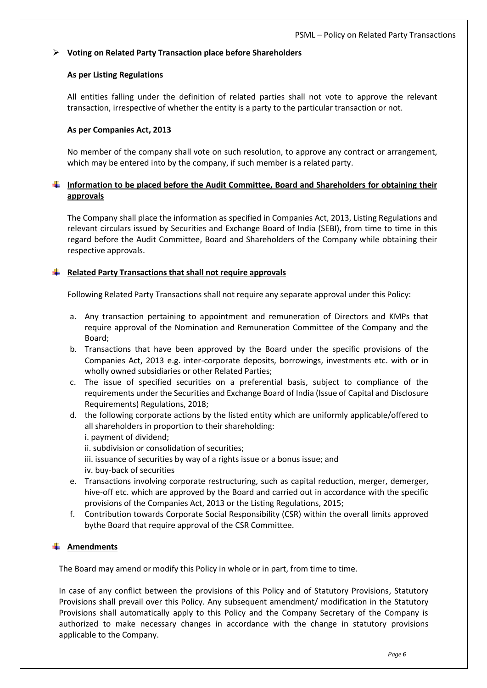# **Voting on Related Party Transaction place before Shareholders**

#### **As per Listing Regulations**

All entities falling under the definition of related parties shall not vote to approve the relevant transaction, irrespective of whether the entity is a party to the particular transaction or not.

#### **As per Companies Act, 2013**

No member of the company shall vote on such resolution, to approve any contract or arrangement, which may be entered into by the company, if such member is a related party.

# **Information to be placed before the Audit Committee, Board and Shareholders for obtaining their approvals**

The Company shall place the information as specified in Companies Act, 2013, Listing Regulations and relevant circulars issued by Securities and Exchange Board of India (SEBI), from time to time in this regard before the Audit Committee, Board and Shareholders of the Company while obtaining their respective approvals.

# **Related Party Transactions that shall not require approvals**

Following Related Party Transactions shall not require any separate approval under this Policy:

- a. Any transaction pertaining to appointment and remuneration of Directors and KMPs that require approval of the Nomination and Remuneration Committee of the Company and the Board;
- b. Transactions that have been approved by the Board under the specific provisions of the Companies Act, 2013 e.g. inter-corporate deposits, borrowings, investments etc. with or in wholly owned subsidiaries or other Related Parties;
- c. The issue of specified securities on a preferential basis, subject to compliance of the requirements under the Securities and Exchange Board of India (Issue of Capital and Disclosure Requirements) Regulations, 2018;
- d. the following corporate actions by the listed entity which are uniformly applicable/offered to all shareholders in proportion to their shareholding:
	- i. payment of dividend;
	- ii. subdivision or consolidation of securities;
	- iii. issuance of securities by way of a rights issue or a bonus issue; and
	- iv. buy-back of securities
- e. Transactions involving corporate restructuring, such as capital reduction, merger, demerger, hive-off etc. which are approved by the Board and carried out in accordance with the specific provisions of the Companies Act, 2013 or the Listing Regulations, 2015;
- f. Contribution towards Corporate Social Responsibility (CSR) within the overall limits approved bythe Board that require approval of the CSR Committee.

# **Amendments**

The Board may amend or modify this Policy in whole or in part, from time to time.

In case of any conflict between the provisions of this Policy and of Statutory Provisions, Statutory Provisions shall prevail over this Policy. Any subsequent amendment/ modification in the Statutory Provisions shall automatically apply to this Policy and the Company Secretary of the Company is authorized to make necessary changes in accordance with the change in statutory provisions applicable to the Company.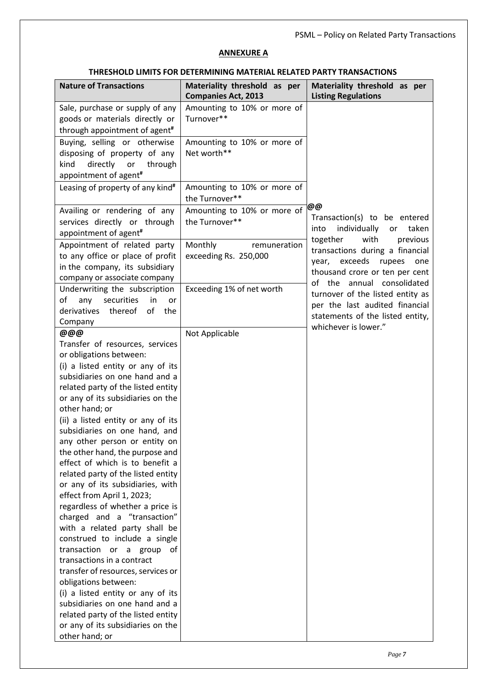### **ANNEXURE A**

### **THRESHOLD LIMITS FOR DETERMINING MATERIAL RELATED PARTY TRANSACTIONS**

| <b>Nature of Transactions</b>                                                                                                                                                                                                                                                                                                                                                                                                                                                                                                                                                                                                                                                                                                                                                                                                                                                                                                                                    | Materiality threshold as per<br><b>Companies Act, 2013</b> | Materiality threshold as per<br><b>Listing Regulations</b>                                                                                                        |
|------------------------------------------------------------------------------------------------------------------------------------------------------------------------------------------------------------------------------------------------------------------------------------------------------------------------------------------------------------------------------------------------------------------------------------------------------------------------------------------------------------------------------------------------------------------------------------------------------------------------------------------------------------------------------------------------------------------------------------------------------------------------------------------------------------------------------------------------------------------------------------------------------------------------------------------------------------------|------------------------------------------------------------|-------------------------------------------------------------------------------------------------------------------------------------------------------------------|
| Sale, purchase or supply of any<br>goods or materials directly or<br>through appointment of agent <sup>#</sup>                                                                                                                                                                                                                                                                                                                                                                                                                                                                                                                                                                                                                                                                                                                                                                                                                                                   | Amounting to 10% or more of<br>Turnover**                  |                                                                                                                                                                   |
| Buying, selling or otherwise<br>disposing of property of any<br>directly or<br>through<br>kind<br>appointment of agent <sup>#</sup>                                                                                                                                                                                                                                                                                                                                                                                                                                                                                                                                                                                                                                                                                                                                                                                                                              | Amounting to 10% or more of<br>Net worth**                 |                                                                                                                                                                   |
| Leasing of property of any kind#                                                                                                                                                                                                                                                                                                                                                                                                                                                                                                                                                                                                                                                                                                                                                                                                                                                                                                                                 | Amounting to 10% or more of<br>the Turnover**              |                                                                                                                                                                   |
| Availing or rendering of any<br>services directly or through<br>appointment of agent <sup>#</sup>                                                                                                                                                                                                                                                                                                                                                                                                                                                                                                                                                                                                                                                                                                                                                                                                                                                                | Amounting to 10% or more of<br>the Turnover**              | @@<br>Transaction(s) to be entered<br>individually<br>taken<br>into<br>or                                                                                         |
| Appointment of related party<br>to any office or place of profit<br>in the company, its subsidiary<br>company or associate company                                                                                                                                                                                                                                                                                                                                                                                                                                                                                                                                                                                                                                                                                                                                                                                                                               | Monthly<br>remuneration<br>exceeding Rs. 250,000           | together<br>with<br>previous<br>transactions during a financial<br>year, exceeds<br>rupees<br>one<br>thousand crore or ten per cent<br>of the annual consolidated |
| Underwriting the subscription<br>securities<br>of<br>in<br>any<br>or<br>thereof<br>of<br>derivatives<br>the<br>Company                                                                                                                                                                                                                                                                                                                                                                                                                                                                                                                                                                                                                                                                                                                                                                                                                                           | Exceeding 1% of net worth                                  | turnover of the listed entity as<br>per the last audited financial<br>statements of the listed entity,<br>whichever is lower."                                    |
| @@@<br>Transfer of resources, services<br>or obligations between:<br>(i) a listed entity or any of its<br>subsidiaries on one hand and a<br>related party of the listed entity<br>or any of its subsidiaries on the<br>other hand; or<br>(ii) a listed entity or any of its<br>subsidiaries on one hand, and<br>any other person or entity on<br>the other hand, the purpose and<br>effect of which is to benefit a<br>related party of the listed entity<br>or any of its subsidiaries, with<br>effect from April 1, 2023;<br>regardless of whether a price is<br>charged and a "transaction"<br>with a related party shall be<br>construed to include a single<br>transaction or a group<br>of<br>transactions in a contract<br>transfer of resources, services or<br>obligations between:<br>(i) a listed entity or any of its<br>subsidiaries on one hand and a<br>related party of the listed entity<br>or any of its subsidiaries on the<br>other hand; or | Not Applicable                                             |                                                                                                                                                                   |